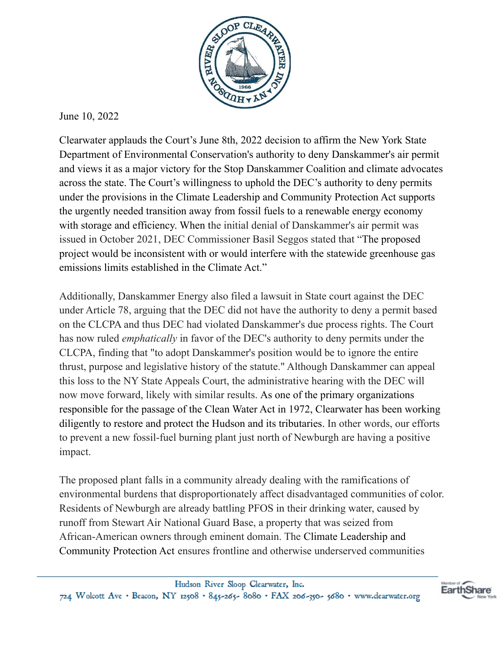

June 10, 2022

Clearwater applauds the Court's June 8th, 2022 decision to affirm the New York State Department of Environmental Conservation's authority to deny Danskammer's air permit and views it as a major victory for the Stop Danskammer Coalition and climate advocates across the state. The Court's willingness to uphold the DEC's authority to deny permits under the provisions in the Climate Leadership and Community Protection Act supports the urgently needed transition away from fossil fuels to a renewable energy economy with storage and efficiency. When the initial denial of Danskammer's air permit was issued in October 2021, DEC Commissioner Basil Seggos stated that "The proposed project would be inconsistent with or would interfere with the statewide greenhouse gas emissions limits established in the Climate Act."

Additionally, Danskammer Energy also filed a lawsuit in State court against the DEC under Article 78, arguing that the DEC did not have the authority to deny a permit based on the CLCPA and thus DEC had violated Danskammer's due process rights. The Court has now ruled *emphatically* in favor of the DEC's authority to deny permits under the CLCPA, finding that "to adopt Danskammer's position would be to ignore the entire thrust, purpose and legislative history of the statute." Although Danskammer can appeal this loss to the NY State Appeals Court, the administrative hearing with the DEC will now move forward, likely with similar results. As one of the primary organizations responsible for the passage of the Clean Water Act in 1972, Clearwater has been working diligently to restore and protect the Hudson and its tributaries. In other words, our efforts to prevent a new fossil-fuel burning plant just north of Newburgh are having a positive impact.

The proposed plant falls in a community already dealing with the ramifications of environmental burdens that disproportionately affect disadvantaged communities of color. Residents of Newburgh are already battling PFOS in their drinking water, caused by runoff from Stewart Air National Guard Base, a property that was seized from African-American owners through eminent domain. The Climate Leadership and Community Protection Act ensures frontline and otherwise underserved communities